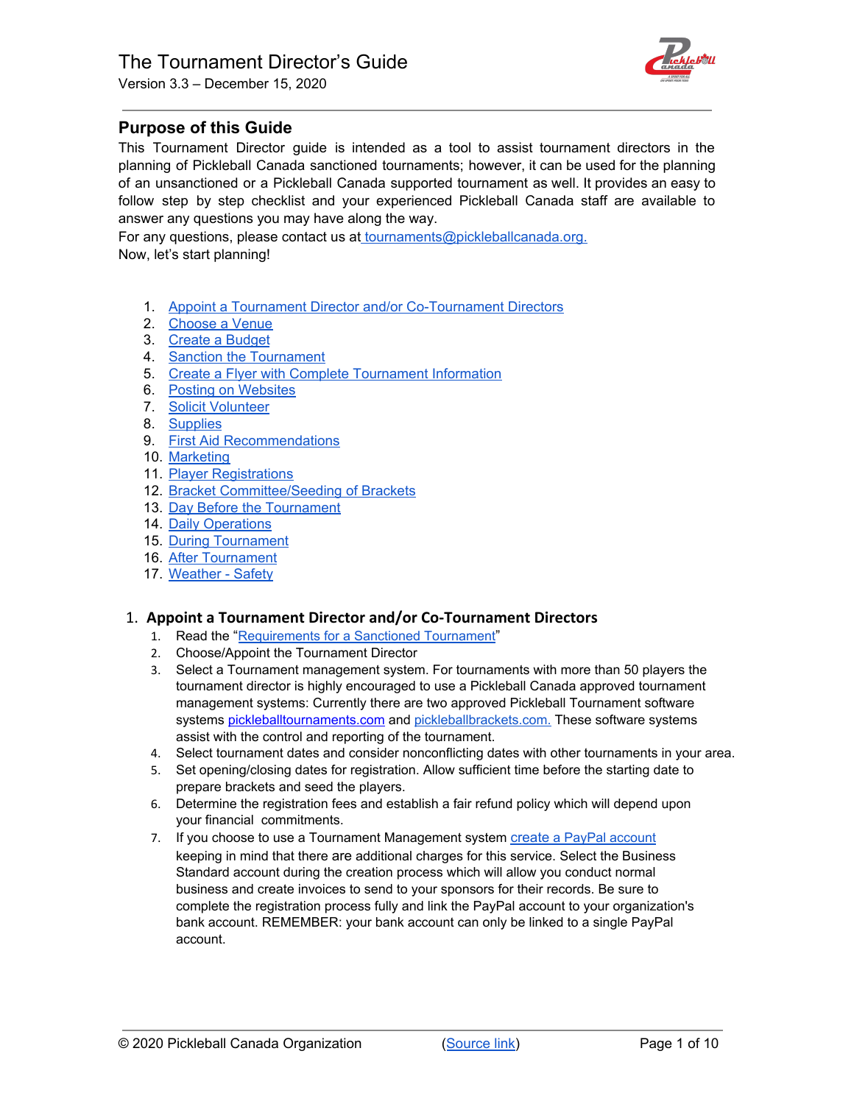

# **Purpose of this Guide**

This Tournament Director guide is intended as a tool to assist tournament directors in the planning of Pickleball Canada sanctioned tournaments; however, it can be used for the planning of an unsanctioned or a Pickleball Canada supported tournament as well. It provides an easy to follow step by step checklist and your experienced Pickleball Canada staff are available to answer any questions you may have along the way.

For any questions, please contact us at [tournaments@pickleballcanada.org.](mailto:tournaments@pickleballcanada.org) Now, let's start planning!

- 1. Appoint a Tournament Director and/or [Co-Tournament](#page-0-0) Directors
- 2. [Choose](#page-1-0) a Venue
- 3. Create a [Budget](#page-1-1)
- 4. Sanction the [Tournament](#page-1-2)
- 5. Create a Flyer with Complete [Tournament](#page-2-0) Information
- 6. Posting on [Websites](#page-2-1)
- 7. Solicit [Volunteer](#page-2-2)
- 8. [Supplies](#page-3-0)
- 9. First Aid [Recommendations](#page-4-0)
- 10. [Marketing](#page-4-1)
- 11. Player [Registrations](#page-5-0)
- 12. Bracket [Committee/Seeding](#page-5-1) of Brackets
- 13. Day Before the [Tournament](#page-6-0)
- 14. Daily [Operations](#page-6-1)
- 15. During [Tournament](#page-6-2)
- 16. After [Tournament](#page-7-0)
- 17. [Weather](#page-8-0) Safety

# <span id="page-0-0"></span>1. **Appoint a Tournament Director and/or Co-Tournament Directors**

- 1. Read the "[Requirements](https://pickleballcanada.org/requirements_for_a_sanctioned.php) for a Sanctioned Tournament"
- 2. Choose/Appoint the Tournament Director
- 3. Select a Tournament management system. For tournaments with more than 50 players the tournament director is highly encouraged to use a Pickleball Canada approved tournament management systems: Currently there are two approved Pickleball Tournament software systems pickleballtournaments.com and [pickleballbrackets.com.](https://pickleballbrackets.com/pts.aspx) These software systems assist with the control and reporting of the tournament.
- 4. Select tournament dates and consider nonconflicting dates with other tournaments in your area.
- 5. Set opening/closing dates for registration. Allow sufficient time before the starting date to prepare brackets and seed the players.
- 6. Determine the registration fees and establish a fair refund policy which will depend upon your financial commitments.
- 7. If you choose to use a Tournament Management system [create](https://www.paypal.com/us/webapps/mpp/product-selection) a PayPal [account](https://www.paypal.com/us/webapps/mpp/product-selection) keeping in mind that there are additional charges for this service. Select the Business Standard account during the creation process which will allow you conduct normal business and create invoices to send to your sponsors for their records. Be sure to complete the registration process fully and link the PayPal account to your organization's bank account. REMEMBER: your bank account can only be linked to a single PayPal account.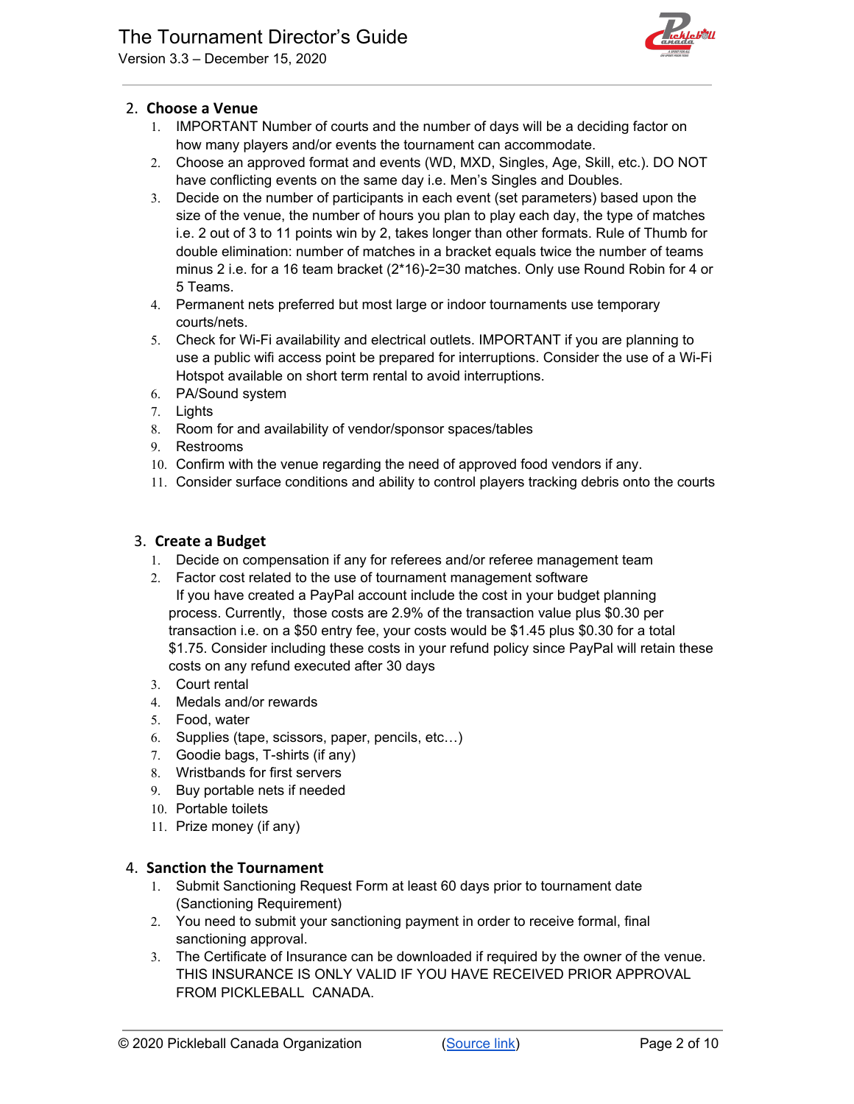

# <span id="page-1-0"></span>2. **Choose a Venue**

- 1. IMPORTANT Number of courts and the number of days will be a deciding factor on how many players and/or events the tournament can accommodate.
- 2. Choose an approved format and events (WD, MXD, Singles, Age, Skill, etc.). DO NOT have conflicting events on the same day i.e. Men's Singles and Doubles.
- 3. Decide on the number of participants in each event (set parameters) based upon the size of the venue, the number of hours you plan to play each day, the type of matches i.e. 2 out of 3 to 11 points win by 2, takes longer than other formats. Rule of Thumb for double elimination: number of matches in a bracket equals twice the number of teams minus 2 i.e. for a 16 team bracket (2\*16)-2=30 matches. Only use Round Robin for 4 or 5 Teams.
- 4. Permanent nets preferred but most large or indoor tournaments use temporary courts/nets.
- 5. Check for Wi-Fi availability and electrical outlets. IMPORTANT if you are planning to use a public wifi access point be prepared for interruptions. Consider the use of a Wi-Fi Hotspot available on short term rental to avoid interruptions.
- 6. PA/Sound system
- 7. Lights
- 8. Room for and availability of vendor/sponsor spaces/tables
- 9. Restrooms
- 10. Confirm with the venue regarding the need of approved food vendors if any.
- 11. Consider surface conditions and ability to control players tracking debris onto the courts

## <span id="page-1-1"></span>3. **Create a Budget**

- 1. Decide on compensation if any for referees and/or referee management team
- 2. Factor cost related to the use of tournament management software If you have created a PayPal account include the cost in your budget planning process. Currently, those costs are 2.9% of the transaction value plus \$0.30 per transaction i.e. on a \$50 entry fee, your costs would be \$1.45 plus \$0.30 for a total \$1.75. Consider including these costs in your refund policy since PayPal will retain these costs on any refund executed after 30 days
- 3. Court rental
- 4. Medals and/or rewards
- 5. Food, water
- 6. Supplies (tape, scissors, paper, pencils, etc…)
- 7. Goodie bags, T-shirts (if any)
- 8. Wristbands for first servers
- 9. Buy portable nets if needed
- 10. Portable toilets
- 11. Prize money (if any)

# <span id="page-1-2"></span>4. **Sanction the Tournament**

- 1. Submit Sanctioning Request Form at least 60 days prior to tournament date (Sanctioning Requirement)
- 2. You need to submit your sanctioning payment in order to receive formal, final sanctioning approval.
- 3. The Certificate of Insurance can be downloaded if required by the owner of the venue. THIS INSURANCE IS ONLY VALID IF YOU HAVE RECEIVED PRIOR APPROVAL FROM PICKLEBALL CANADA.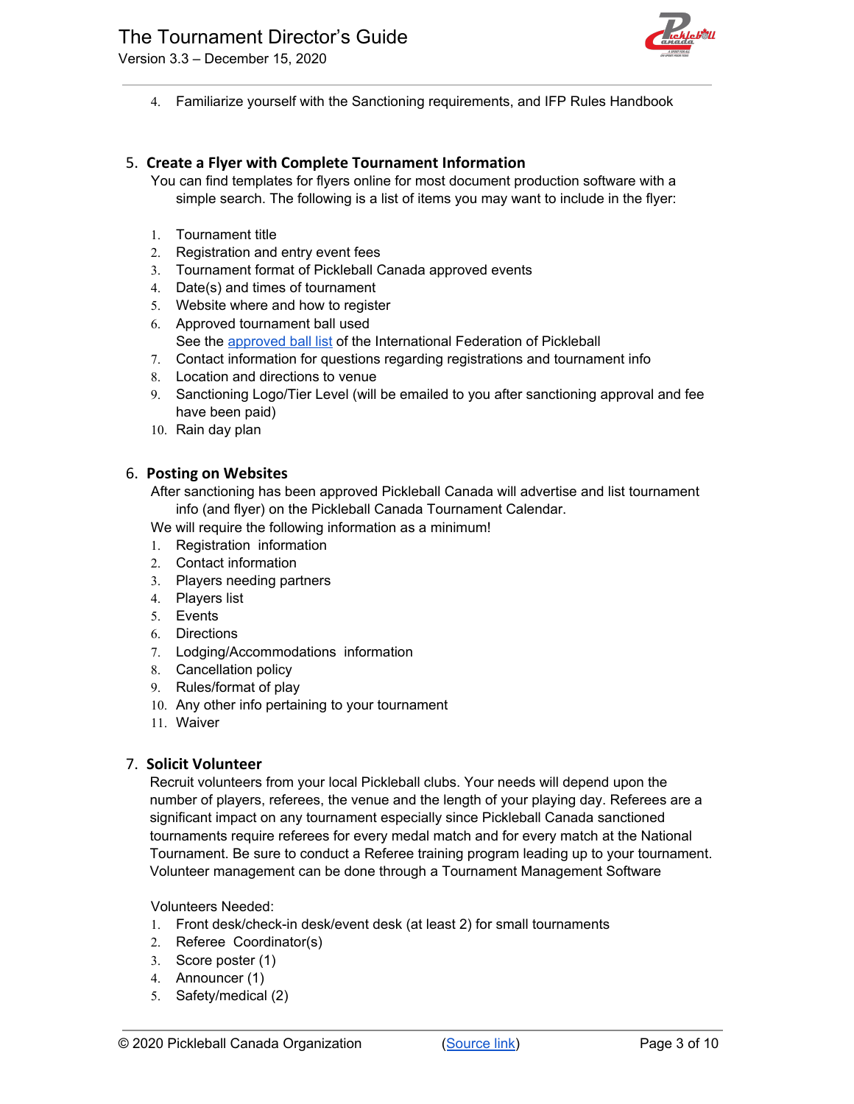



4. Familiarize yourself with the Sanctioning requirements, and IFP Rules Handbook

# <span id="page-2-0"></span>5. **Create a Flyer with Complete Tournament Information**

- You can find templates for flyers online for most document production software with a simple search. The following is a list of items you may want to include in the flyer:
- 1. Tournament title
- 2. Registration and entry event fees
- 3. Tournament format of Pickleball Canada approved events
- 4. Date(s) and times of tournament
- 5. Website where and how to register
- 6. Approved tournament ball used
- See the [approved](https://pickleballcanada.org/docs/List-of-Approved-Balls-converted.pdf) ball list of the International Federation of Pickleball
- 7. Contact information for questions regarding registrations and tournament info
- 8. Location and directions to venue
- 9. Sanctioning Logo/Tier Level (will be emailed to you after sanctioning approval and fee have been paid)
- 10. Rain day plan

## <span id="page-2-1"></span>6. **Posting on Websites**

After sanctioning has been approved Pickleball Canada will advertise and list tournament info (and flyer) on the Pickleball Canada Tournament Calendar.

We will require the following information as a minimum!

- 1. Registration information
- 2. Contact information
- 3. Players needing partners
- 4. Players list
- 5. Events
- 6. Directions
- 7. Lodging/Accommodations information
- 8. Cancellation policy
- 9. Rules/format of play
- 10. Any other info pertaining to your tournament
- 11. Waiver

# <span id="page-2-2"></span>7. **Solicit Volunteer**

Recruit volunteers from your local Pickleball clubs. Your needs will depend upon the number of players, referees, the venue and the length of your playing day. Referees are a significant impact on any tournament especially since Pickleball Canada sanctioned tournaments require referees for every medal match and for every match at the National Tournament. Be sure to conduct a Referee training program leading up to your tournament. Volunteer management can be done through a Tournament Management Software

#### Volunteers Needed:

- 1. Front desk/check-in desk/event desk (at least 2) for small tournaments
- 2. Referee Coordinator(s)
- 3. Score poster (1)
- 4. Announcer (1)
- 5. Safety/medical (2)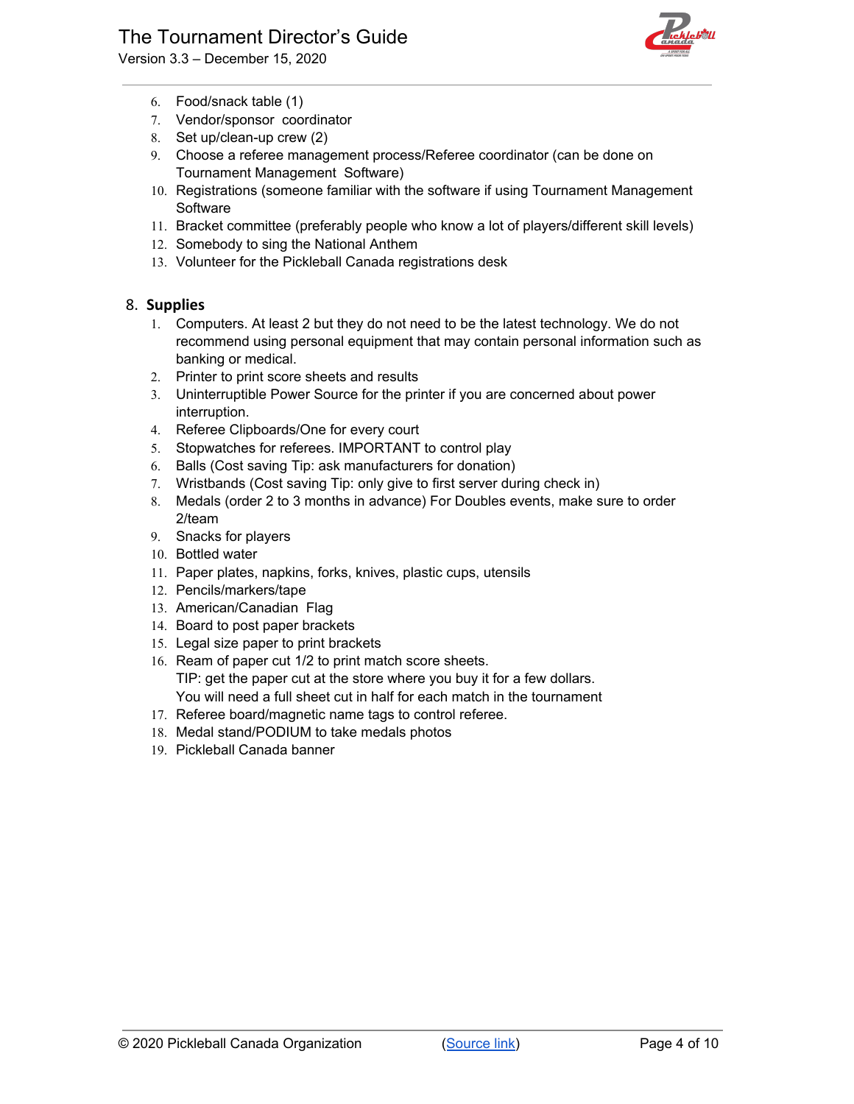# The Tournament Director's Guide

Version 3.3 – December 15, 2020



- 6. Food/snack table (1)
- 7. Vendor/sponsor coordinator
- 8. Set up/clean-up crew (2)
- 9. Choose a referee management process/Referee coordinator (can be done on Tournament Management Software)
- 10. Registrations (someone familiar with the software if using Tournament Management Software
- 11. Bracket committee (preferably people who know a lot of players/different skill levels)
- 12. Somebody to sing the National Anthem
- 13. Volunteer for the Pickleball Canada registrations desk

## <span id="page-3-0"></span>8. **Supplies**

- 1. Computers. At least 2 but they do not need to be the latest technology. We do not recommend using personal equipment that may contain personal information such as banking or medical.
- 2. Printer to print score sheets and results
- 3. Uninterruptible Power Source for the printer if you are concerned about power interruption.
- 4. Referee Clipboards/One for every court
- 5. Stopwatches for referees. IMPORTANT to control play
- 6. Balls (Cost saving Tip: ask manufacturers for donation)
- 7. Wristbands (Cost saving Tip: only give to first server during check in)
- 8. Medals (order 2 to 3 months in advance) For Doubles events, make sure to order 2/team
- 9. Snacks for players
- 10. Bottled water
- 11. Paper plates, napkins, forks, knives, plastic cups, utensils
- 12. Pencils/markers/tape
- 13. American/Canadian Flag
- 14. Board to post paper brackets
- 15. Legal size paper to print brackets
- 16. Ream of paper cut 1/2 to print match score sheets. TIP: get the paper cut at the store where you buy it for a few dollars. You will need a full sheet cut in half for each match in the tournament
- 17. Referee board/magnetic name tags to control referee.
- 18. Medal stand/PODIUM to take medals photos
- 19. Pickleball Canada banner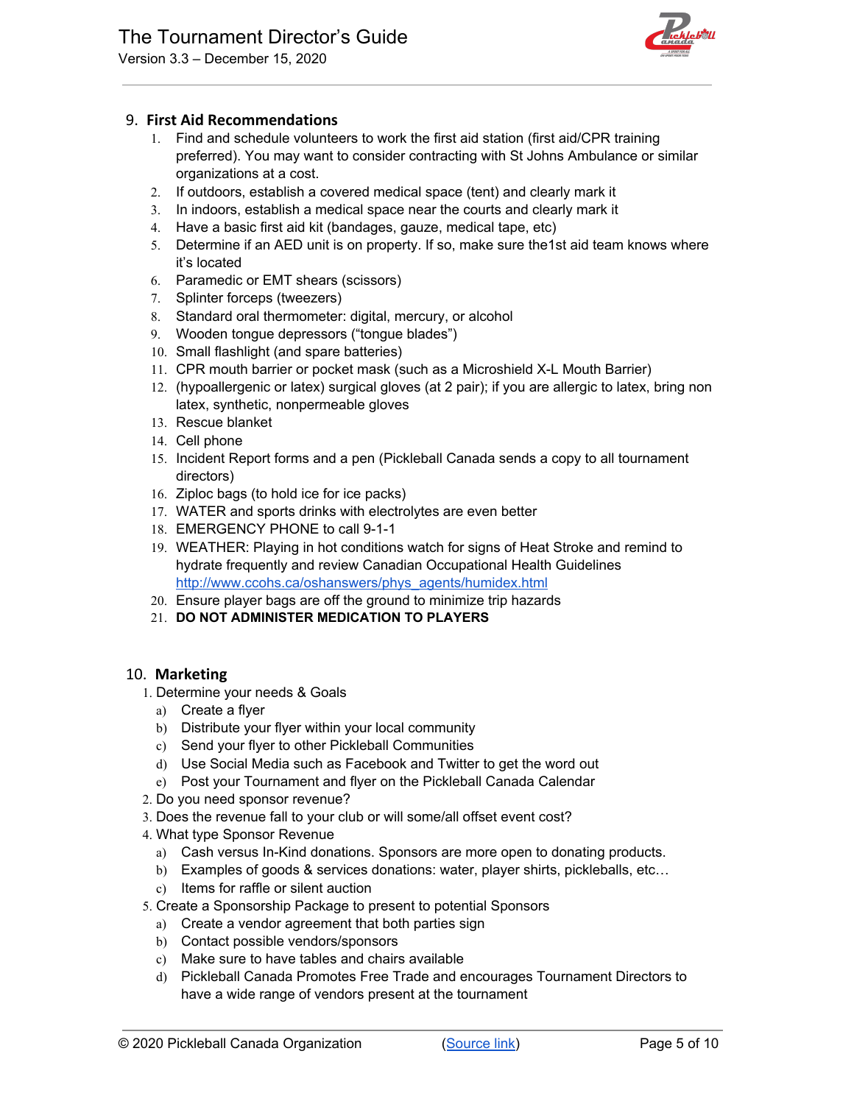

# <span id="page-4-0"></span>9. **First Aid Recommendations**

- 1. Find and schedule volunteers to work the first aid station (first aid/CPR training preferred). You may want to consider contracting with St Johns Ambulance or similar organizations at a cost.
- 2. If outdoors, establish a covered medical space (tent) and clearly mark it
- 3. In indoors, establish a medical space near the courts and clearly mark it
- 4. Have a basic first aid kit (bandages, gauze, medical tape, etc)
- 5. Determine if an AED unit is on property. If so, make sure the1st aid team knows where it's located
- 6. Paramedic or EMT shears (scissors)
- 7. Splinter forceps (tweezers)
- 8. Standard oral thermometer: digital, mercury, or alcohol
- 9. Wooden tongue depressors ("tongue blades")
- 10. Small flashlight (and spare batteries)
- 11. CPR mouth barrier or pocket mask (such as a Microshield X-L Mouth Barrier)
- 12. (hypoallergenic or latex) surgical gloves (at 2 pair); if you are allergic to latex, bring non latex, synthetic, nonpermeable gloves
- 13. Rescue blanket
- 14. Cell phone
- 15. Incident Report forms and a pen (Pickleball Canada sends a copy to all tournament directors)
- 16. Ziploc bags (to hold ice for ice packs)
- 17. WATER and sports drinks with electrolytes are even better
- 18. EMERGENCY PHONE to call 9-1-1
- 19. WEATHER: Playing in hot conditions watch for signs of Heat Stroke and remind to hydrate frequently and review Canadian Occupational Health Guidelines [http://www.ccohs.ca/oshanswers/phys\\_agents/humidex.html](http://www.ccohs.ca/oshanswers/phys_agents/humidex.html)
- 20. Ensure player bags are off the ground to minimize trip hazards
- 21. **DO NOT ADMINISTER MEDICATION TO PLAYERS**

# <span id="page-4-1"></span>10. **Marketing**

- 1. Determine your needs & Goals
	- a) Create a flyer
	- b) Distribute your flyer within your local community
	- c) Send your flyer to other Pickleball Communities
	- d) Use Social Media such as Facebook and Twitter to get the word out
	- e) Post your Tournament and flyer on the Pickleball Canada Calendar
- 2. Do you need sponsor revenue?
- 3. Does the revenue fall to your club or will some/all offset event cost?
- 4. What type Sponsor Revenue
	- a) Cash versus In-Kind donations. Sponsors are more open to donating products.
	- b) Examples of goods & services donations: water, player shirts, pickleballs, etc...
	- c) Items for raffle or silent auction
- 5. Create a Sponsorship Package to present to potential Sponsors
	- a) Create a vendor agreement that both parties sign
	- b) Contact possible vendors/sponsors
	- c) Make sure to have tables and chairs available
	- d) Pickleball Canada Promotes Free Trade and encourages Tournament Directors to have a wide range of vendors present at the tournament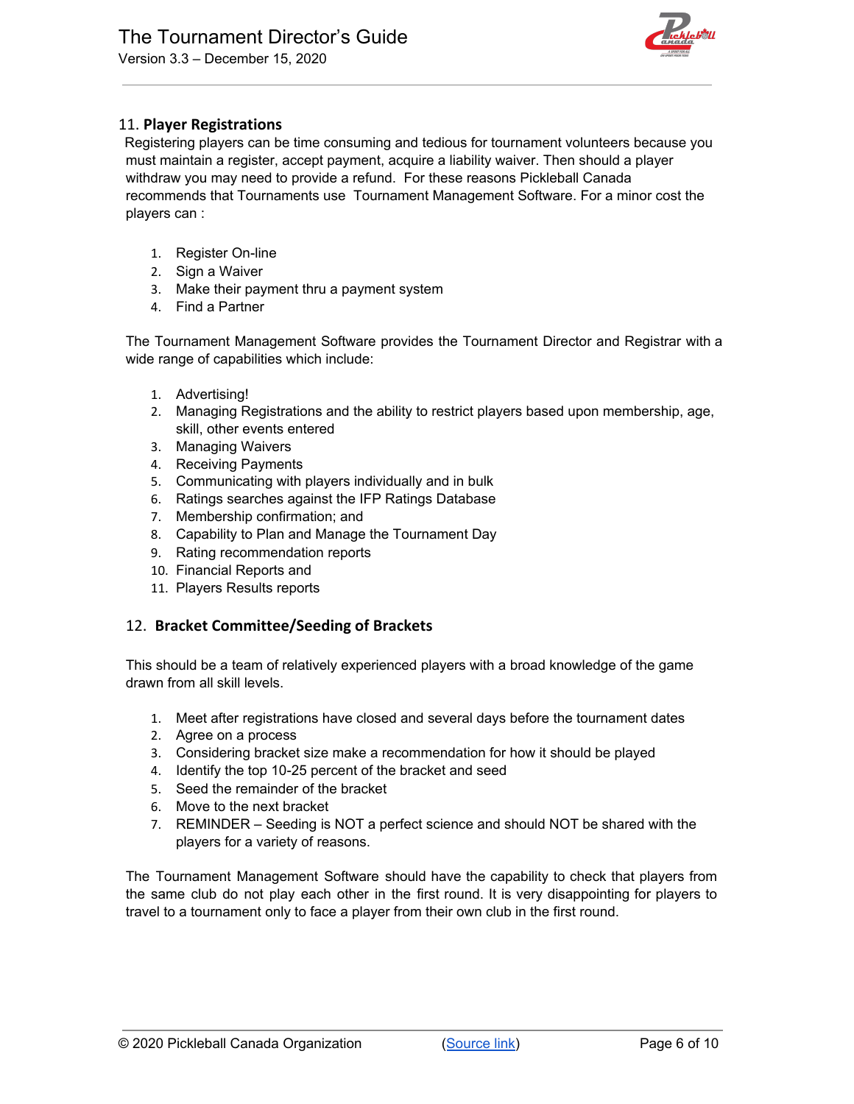

# <span id="page-5-0"></span>11. **Player Registrations**

Registering players can be time consuming and tedious for tournament volunteers because you must maintain a register, accept payment, acquire a liability waiver. Then should a player withdraw you may need to provide a refund. For these reasons Pickleball Canada recommends that Tournaments use Tournament Management Software. For a minor cost the players can :

- 1. Register On-line
- 2. Sign a Waiver
- 3. Make their payment thru a payment system
- 4. Find a Partner

The Tournament Management Software provides the Tournament Director and Registrar with a wide range of capabilities which include:

- 1. Advertising!
- 2. Managing Registrations and the ability to restrict players based upon membership, age, skill, other events entered
- 3. Managing Waivers
- 4. Receiving Payments
- 5. Communicating with players individually and in bulk
- 6. Ratings searches against the IFP Ratings Database
- 7. Membership confirmation; and
- 8. Capability to Plan and Manage the Tournament Day
- 9. Rating recommendation reports
- 10. Financial Reports and
- 11. Players Results reports

# <span id="page-5-1"></span>12. **Bracket Committee/Seeding of Brackets**

This should be a team of relatively experienced players with a broad knowledge of the game drawn from all skill levels.

- 1. Meet after registrations have closed and several days before the tournament dates
- 2. Agree on a process
- 3. Considering bracket size make a recommendation for how it should be played
- 4. Identify the top 10-25 percent of the bracket and seed
- 5. Seed the remainder of the bracket
- 6. Move to the next bracket
- 7. REMINDER Seeding is NOT a perfect science and should NOT be shared with the players for a variety of reasons.

The Tournament Management Software should have the capability to check that players from the same club do not play each other in the first round. It is very disappointing for players to travel to a tournament only to face a player from their own club in the first round.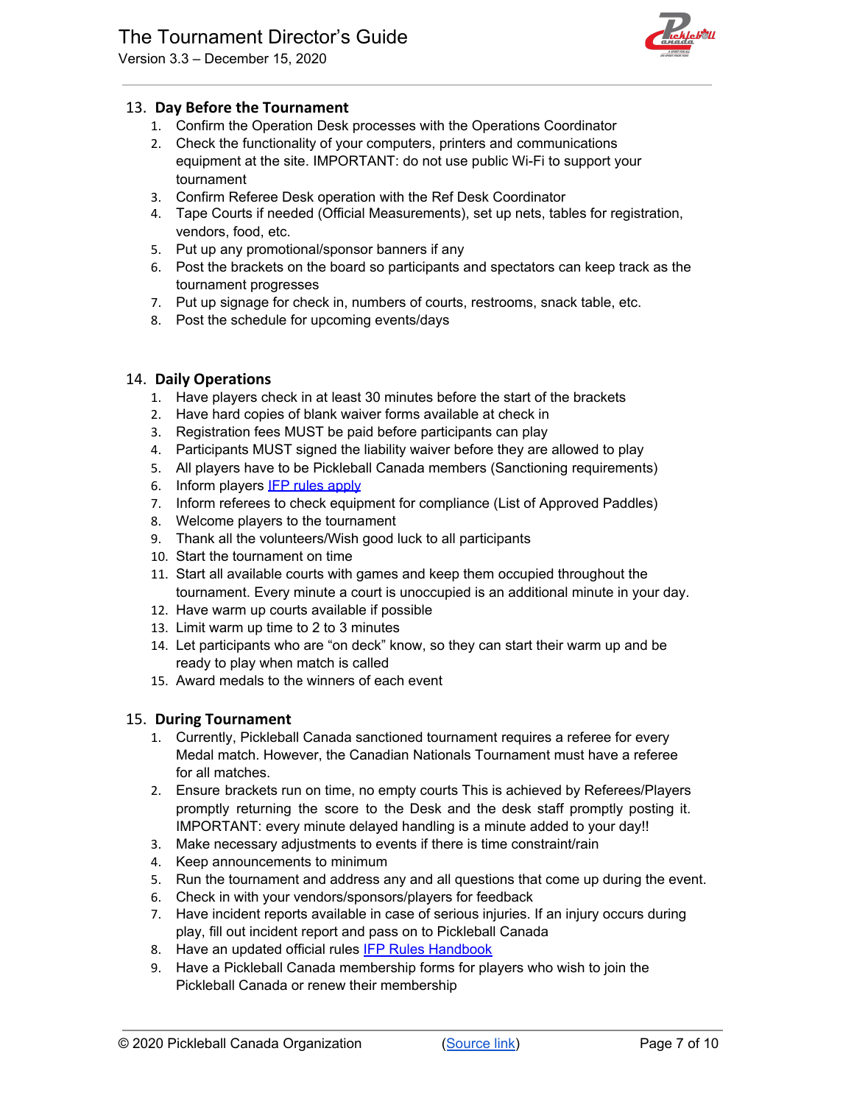Version 3.3 – December 15, 2020



# <span id="page-6-0"></span>13. **Day Before the Tournament**

- 1. Confirm the Operation Desk processes with the Operations Coordinator
- 2. Check the functionality of your computers, printers and communications equipment at the site. IMPORTANT: do not use public Wi-Fi to support your tournament
- 3. Confirm Referee Desk operation with the Ref Desk Coordinator
- 4. Tape Courts if needed (Official Measurements), set up nets, tables for registration, vendors, food, etc.
- 5. Put up any promotional/sponsor banners if any
- 6. Post the brackets on the board so participants and spectators can keep track as the tournament progresses
- 7. Put up signage for check in, numbers of courts, restrooms, snack table, etc.
- 8. Post the schedule for upcoming events/days

# <span id="page-6-1"></span>14. **Daily Operations**

- 1. Have players check in at least 30 minutes before the start of the brackets
- 2. Have hard copies of blank waiver forms available at check in
- 3. Registration fees MUST be paid before participants can play
- 4. Participants MUST signed the liability waiver before they are allowed to play
- 5. All players have to be Pickleball Canada members (Sanctioning requirements)
- 6. Inform players **IFP rules apply**
- 7. Inform referees to check equipment for compliance (List of Approved Paddles)
- 8. Welcome players to the tournament
- 9. Thank all the volunteers/Wish good luck to all participants
- 10. Start the tournament on time
- 11. Start all available courts with games and keep them occupied throughout the tournament. Every minute a court is unoccupied is an additional minute in your day.
- 12. Have warm up courts available if possible
- 13. Limit warm up time to 2 to 3 minutes
- 14. Let participants who are "on deck" know, so they can start their warm up and be ready to play when match is called
- 15. Award medals to the winners of each event

# <span id="page-6-2"></span>15. **During Tournament**

- 1. Currently, Pickleball Canada sanctioned tournament requires a referee for every Medal match. However, the Canadian Nationals Tournament must have a referee for all matches.
- 2. Ensure brackets run on time, no empty courts This is achieved by Referees/Players promptly returning the score to the Desk and the desk staff promptly posting it. IMPORTANT: every minute delayed handling is a minute added to your day!!
- 3. Make necessary adjustments to events if there is time constraint/rain
- 4. Keep announcements to minimum
- 5. Run the tournament and address any and all questions that come up during the event.
- 6. Check in with your vendors/sponsors/players for feedback
- 7. Have incident reports available in case of serious injuries. If an injury occurs during play, fill out incident report and pass on to Pickleball Canada
- 8. Have an updated official rules **IFP Rules Handbook**
- 9. Have a Pickleball Canada membership forms for players who wish to join the Pickleball Canada or renew their membership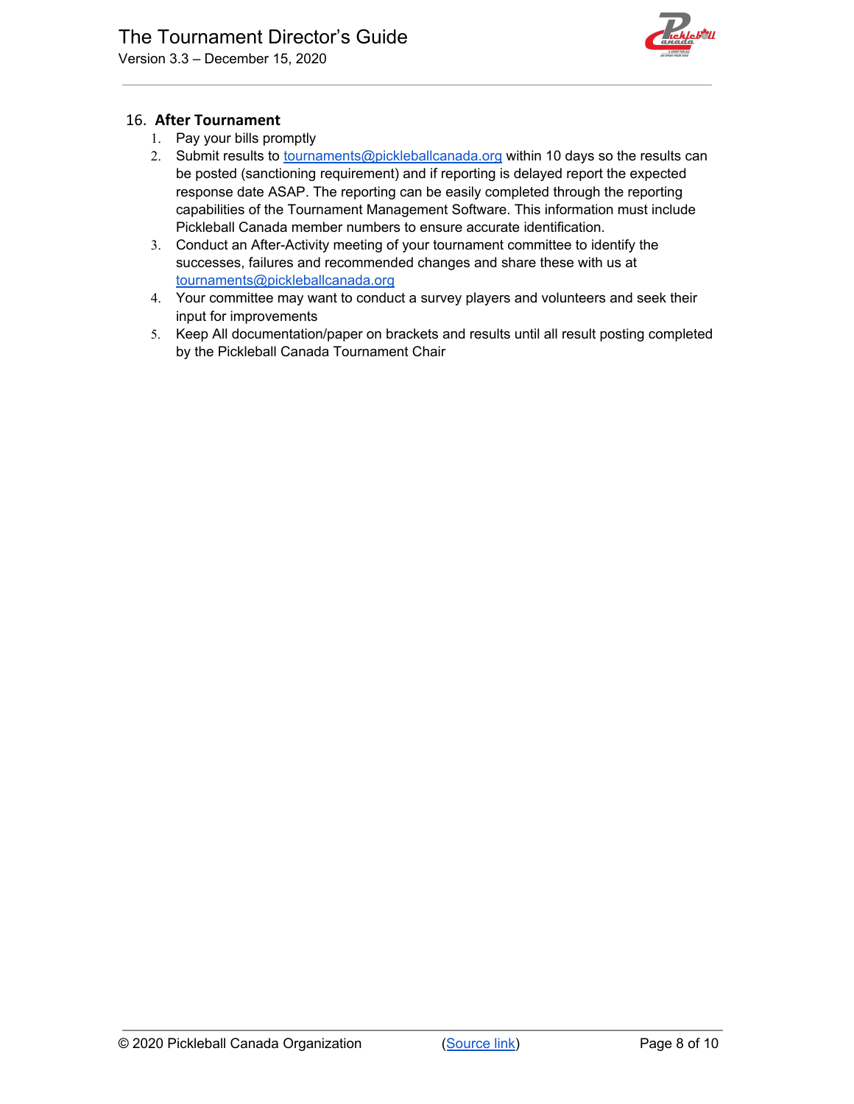

# <span id="page-7-0"></span>16. **After Tournament**

- 1. Pay your bills promptly
- 2. Submit results to **[tournaments@pickleballcanada.org](mailto:tournaments@pickleballcanada.org)** within 10 days so the results can be posted (sanctioning requirement) and if reporting is delayed report the expected response date ASAP. The reporting can be easily completed through the reporting capabilities of the Tournament Management Software. This information must include Pickleball Canada member numbers to ensure accurate identification.
- 3. Conduct an After-Activity meeting of your tournament committee to identify the successes, failures and recommended changes and share these with us at [tournaments@pickleballcanada.org](mailto:tournaments@pickleballcanada.org)
- 4. Your committee may want to conduct a survey players and volunteers and seek their input for improvements
- 5. Keep All documentation/paper on brackets and results until all result posting completed by the Pickleball Canada Tournament Chair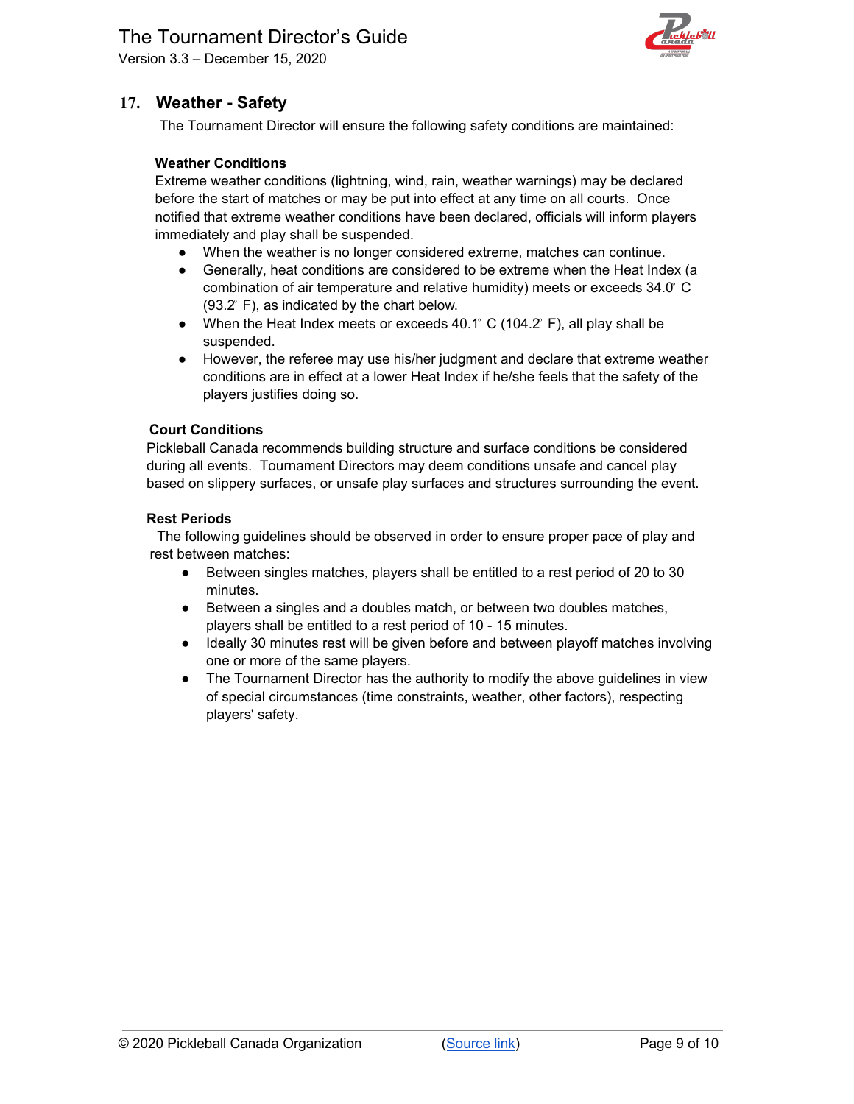Version 3.3 – December 15, 2020



# <span id="page-8-0"></span>**17. Weather - Safety**

The Tournament Director will ensure the following safety conditions are maintained:

#### **Weather Conditions**

Extreme weather conditions (lightning, wind, rain, weather warnings) may be declared before the start of matches or may be put into effect at any time on all courts. Once notified that extreme weather conditions have been declared, officials will inform players immediately and play shall be suspended.

- When the weather is no longer considered extreme, matches can continue.
- Generally, heat conditions are considered to be extreme when the Heat Index (a combination of air temperature and relative humidity) meets or exceeds 34.0 ͦC  $(93.2<sup>°</sup> F)$ , as indicated by the chart below.
- When the Heat Index meets or exceeds  $40.1^\circ$  C (104.2° F), all play shall be suspended.
- However, the referee may use his/her judgment and declare that extreme weather conditions are in effect at a lower Heat Index if he/she feels that the safety of the players justifies doing so.

#### **Court Conditions**

Pickleball Canada recommends building structure and surface conditions be considered during all events. Tournament Directors may deem conditions unsafe and cancel play based on slippery surfaces, or unsafe play surfaces and structures surrounding the event.

#### **Rest Periods**

The following guidelines should be observed in order to ensure proper pace of play and rest between matches:

- Between singles matches, players shall be entitled to a rest period of 20 to 30 minutes.
- Between a singles and a doubles match, or between two doubles matches, players shall be entitled to a rest period of 10 - 15 minutes.
- Ideally 30 minutes rest will be given before and between playoff matches involving one or more of the same players.
- The Tournament Director has the authority to modify the above guidelines in view of special circumstances (time constraints, weather, other factors), respecting players' safety.